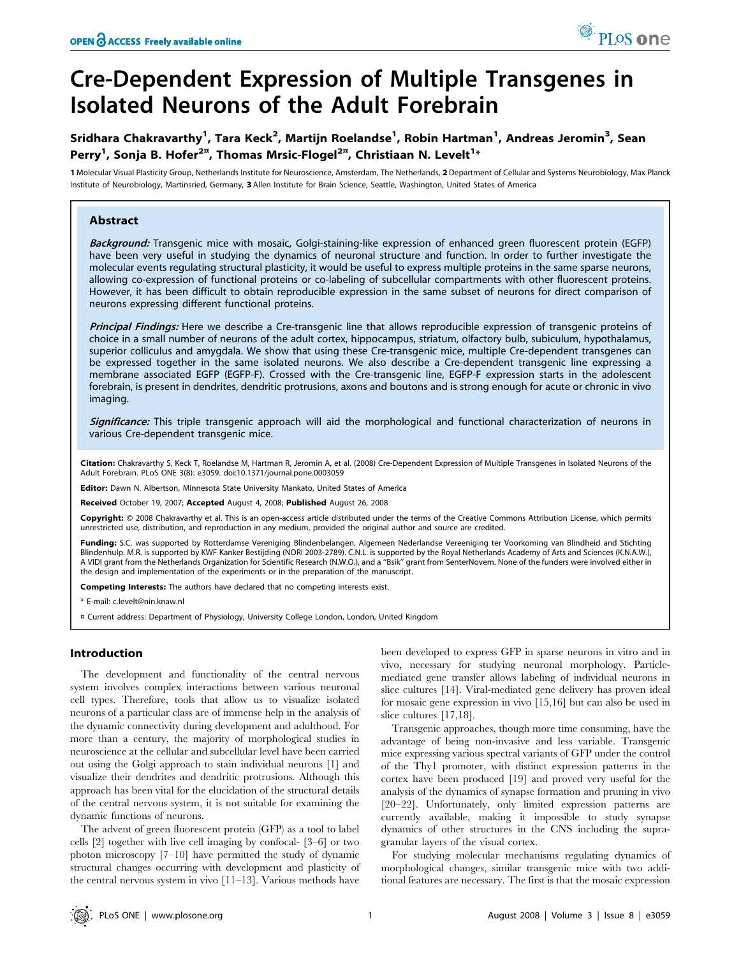# Cre-Dependent Expression of Multiple Transgenes in Isolated Neurons of the Adult Forebrain

# Sridhara Chakravarthy<sup>1</sup>, Tara Keck<sup>2</sup>, Martijn Roelandse<sup>1</sup>, Robin Hartman<sup>1</sup>, Andreas Jeromin<sup>3</sup>, Sean Perry<sup>1</sup>, Sonja B. Hofer<sup>2¤</sup>, Thomas Mrsic-Flogel<sup>2¤</sup>, Christiaan N. Levelt<sup>1</sup>\*

1 Molecular Visual Plasticity Group, Netherlands Institute for Neuroscience, Amsterdam, The Netherlands, 2 Department of Cellular and Systems Neurobiology, Max Planck Institute of Neurobiology, Martinsried, Germany, 3 Allen Institute for Brain Science, Seattle, Washington, United States of America

#### Abstract

Background: Transgenic mice with mosaic, Golgi-staining-like expression of enhanced green fluorescent protein (EGFP) have been very useful in studying the dynamics of neuronal structure and function. In order to further investigate the molecular events regulating structural plasticity, it would be useful to express multiple proteins in the same sparse neurons, allowing co-expression of functional proteins or co-labeling of subcellular compartments with other fluorescent proteins. However, it has been difficult to obtain reproducible expression in the same subset of neurons for direct comparison of neurons expressing different functional proteins.

Principal Findings: Here we describe a Cre-transgenic line that allows reproducible expression of transgenic proteins of choice in a small number of neurons of the adult cortex, hippocampus, striatum, olfactory bulb, subiculum, hypothalamus, superior colliculus and amygdala. We show that using these Cre-transgenic mice, multiple Cre-dependent transgenes can be expressed together in the same isolated neurons. We also describe a Cre-dependent transgenic line expressing a membrane associated EGFP (EGFP-F). Crossed with the Cre-transgenic line, EGFP-F expression starts in the adolescent forebrain, is present in dendrites, dendritic protrusions, axons and boutons and is strong enough for acute or chronic in vivo imaging.

Significance: This triple transgenic approach will aid the morphological and functional characterization of neurons in various Cre-dependent transgenic mice.

Citation: Chakravarthy S, Keck T, Roelandse M, Hartman R, Jeromin A, et al. (2008) Cre-Dependent Expression of Multiple Transgenes in Isolated Neurons of the Adult Forebrain. PLoS ONE 3(8): e3059. doi:10.1371/journal.pone.0003059

Editor: Dawn N. Albertson, Minnesota State University Mankato, United States of America

Received October 19, 2007; Accepted August 4, 2008; Published August 26, 2008

Copyright: @ 2008 Chakravarthy et al. This is an open-access article distributed under the terms of the Creative Commons Attribution License, which permits unrestricted use, distribution, and reproduction in any medium, provided the original author and source are credited.

Funding: S.C. was supported by Rotterdamse Vereniging Blindenbelangen, Algemeen Nederlandse Vereeniging ter Voorkoming van Blindheid and Stichting Blindenhulp. M.R. is supported by KWF Kanker Bestijding (NORI 2003-2789). C.N.L. is supported by the Royal Netherlands Academy of Arts and Sciences (K.N.A.W.), A VIDI grant from the Netherlands Organization for Scientific Research (N.W.O.), and a ''Bsik'' grant from SenterNovem. None of the funders were involved either in the design and implementation of the experiments or in the preparation of the manuscript.

Competing Interests: The authors have declared that no competing interests exist.

\* E-mail: c.levelt@nin.knaw.nl

¤ Current address: Department of Physiology, University College London, London, United Kingdom

#### Introduction

The development and functionality of the central nervous system involves complex interactions between various neuronal cell types. Therefore, tools that allow us to visualize isolated neurons of a particular class are of immense help in the analysis of the dynamic connectivity during development and adulthood. For more than a century, the majority of morphological studies in neuroscience at the cellular and subcellular level have been carried out using the Golgi approach to stain individual neurons [1] and visualize their dendrites and dendritic protrusions. Although this approach has been vital for the elucidation of the structural details of the central nervous system, it is not suitable for examining the dynamic functions of neurons.

The advent of green fluorescent protein (GFP) as a tool to label cells [2] together with live cell imaging by confocal- [3–6] or two photon microscopy [7–10] have permitted the study of dynamic structural changes occurring with development and plasticity of the central nervous system in vivo [11–13]. Various methods have

been developed to express GFP in sparse neurons in vitro and in vivo, necessary for studying neuronal morphology. Particlemediated gene transfer allows labeling of individual neurons in slice cultures [14]. Viral-mediated gene delivery has proven ideal for mosaic gene expression in vivo [15,16] but can also be used in slice cultures [17,18].

Transgenic approaches, though more time consuming, have the advantage of being non-invasive and less variable. Transgenic mice expressing various spectral variants of GFP under the control of the Thy1 promoter, with distinct expression patterns in the cortex have been produced [19] and proved very useful for the analysis of the dynamics of synapse formation and pruning in vivo [20–22]. Unfortunately, only limited expression patterns are currently available, making it impossible to study synapse dynamics of other structures in the CNS including the supragranular layers of the visual cortex.

For studying molecular mechanisms regulating dynamics of morphological changes, similar transgenic mice with two additional features are necessary. The first is that the mosaic expression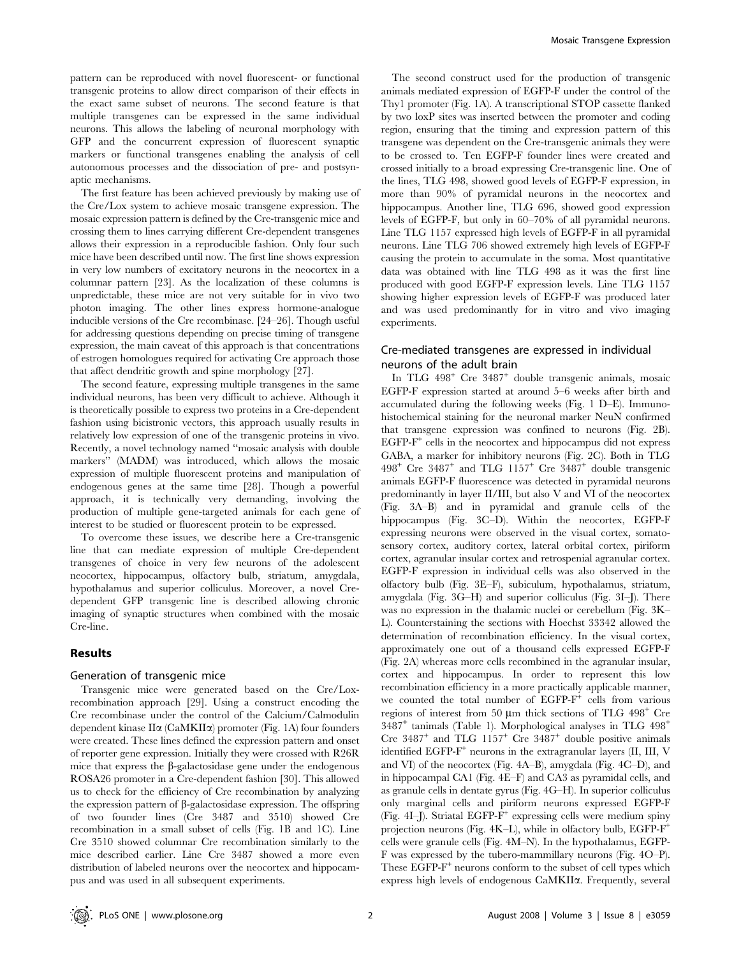pattern can be reproduced with novel fluorescent- or functional transgenic proteins to allow direct comparison of their effects in the exact same subset of neurons. The second feature is that multiple transgenes can be expressed in the same individual neurons. This allows the labeling of neuronal morphology with GFP and the concurrent expression of fluorescent synaptic markers or functional transgenes enabling the analysis of cell autonomous processes and the dissociation of pre- and postsynaptic mechanisms.

The first feature has been achieved previously by making use of the Cre/Lox system to achieve mosaic transgene expression. The mosaic expression pattern is defined by the Cre-transgenic mice and crossing them to lines carrying different Cre-dependent transgenes allows their expression in a reproducible fashion. Only four such mice have been described until now. The first line shows expression in very low numbers of excitatory neurons in the neocortex in a columnar pattern [23]. As the localization of these columns is unpredictable, these mice are not very suitable for in vivo two photon imaging. The other lines express hormone-analogue inducible versions of the Cre recombinase. [24–26]. Though useful for addressing questions depending on precise timing of transgene expression, the main caveat of this approach is that concentrations of estrogen homologues required for activating Cre approach those that affect dendritic growth and spine morphology [27].

The second feature, expressing multiple transgenes in the same individual neurons, has been very difficult to achieve. Although it is theoretically possible to express two proteins in a Cre-dependent fashion using bicistronic vectors, this approach usually results in relatively low expression of one of the transgenic proteins in vivo. Recently, a novel technology named ''mosaic analysis with double markers'' (MADM) was introduced, which allows the mosaic expression of multiple fluorescent proteins and manipulation of endogenous genes at the same time [28]. Though a powerful approach, it is technically very demanding, involving the production of multiple gene-targeted animals for each gene of interest to be studied or fluorescent protein to be expressed.

To overcome these issues, we describe here a Cre-transgenic line that can mediate expression of multiple Cre-dependent transgenes of choice in very few neurons of the adolescent neocortex, hippocampus, olfactory bulb, striatum, amygdala, hypothalamus and superior colliculus. Moreover, a novel Credependent GFP transgenic line is described allowing chronic imaging of synaptic structures when combined with the mosaic Cre-line.

#### Results

#### Generation of transgenic mice

Transgenic mice were generated based on the Cre/Loxrecombination approach [29]. Using a construct encoding the Cre recombinase under the control of the Calcium/Calmodulin dependent kinase II $\alpha$  (CaMKII $\alpha$ ) promoter (Fig. 1A) four founders were created. These lines defined the expression pattern and onset of reporter gene expression. Initially they were crossed with R26R mice that express the  $\beta$ -galactosidase gene under the endogenous ROSA26 promoter in a Cre-dependent fashion [30]. This allowed us to check for the efficiency of Cre recombination by analyzing the expression pattern of  $\beta$ -galactosidase expression. The offspring of two founder lines (Cre 3487 and 3510) showed Cre recombination in a small subset of cells (Fig. 1B and 1C). Line Cre 3510 showed columnar Cre recombination similarly to the mice described earlier. Line Cre 3487 showed a more even distribution of labeled neurons over the neocortex and hippocampus and was used in all subsequent experiments.

The second construct used for the production of transgenic animals mediated expression of EGFP-F under the control of the Thy1 promoter (Fig. 1A). A transcriptional STOP cassette flanked by two loxP sites was inserted between the promoter and coding region, ensuring that the timing and expression pattern of this transgene was dependent on the Cre-transgenic animals they were to be crossed to. Ten EGFP-F founder lines were created and crossed initially to a broad expressing Cre-transgenic line. One of the lines, TLG 498, showed good levels of EGFP-F expression, in more than 90% of pyramidal neurons in the neocortex and hippocampus. Another line, TLG 696, showed good expression levels of EGFP-F, but only in 60–70% of all pyramidal neurons. Line TLG 1157 expressed high levels of EGFP-F in all pyramidal neurons. Line TLG 706 showed extremely high levels of EGFP-F causing the protein to accumulate in the soma. Most quantitative data was obtained with line TLG 498 as it was the first line produced with good EGFP-F expression levels. Line TLG 1157 showing higher expression levels of EGFP-F was produced later and was used predominantly for in vitro and vivo imaging experiments.

#### Cre-mediated transgenes are expressed in individual neurons of the adult brain

In TLG 498<sup>+</sup> Cre 3487<sup>+</sup> double transgenic animals, mosaic EGFP-F expression started at around 5–6 weeks after birth and accumulated during the following weeks (Fig. 1 D–E). Immunohistochemical staining for the neuronal marker NeuN confirmed that transgene expression was confined to neurons (Fig. 2B).  $EGFP-F^+$  cells in the neocortex and hippocampus did not express GABA, a marker for inhibitory neurons (Fig. 2C). Both in TLG  $498<sup>+</sup>$  Cre  $3487<sup>+</sup>$  and TLG  $1157<sup>+</sup>$  Cre  $3487<sup>+</sup>$  double transgenic animals EGFP-F fluorescence was detected in pyramidal neurons predominantly in layer II/III, but also V and VI of the neocortex (Fig. 3A–B) and in pyramidal and granule cells of the hippocampus (Fig. 3C–D). Within the neocortex, EGFP-F expressing neurons were observed in the visual cortex, somatosensory cortex, auditory cortex, lateral orbital cortex, piriform cortex, agranular insular cortex and retrospenial agranular cortex. EGFP-F expression in individual cells was also observed in the olfactory bulb (Fig. 3E–F), subiculum, hypothalamus, striatum, amygdala (Fig. 3G–H) and superior colliculus (Fig. 3I–J). There was no expression in the thalamic nuclei or cerebellum (Fig. 3K– L). Counterstaining the sections with Hoechst 33342 allowed the determination of recombination efficiency. In the visual cortex, approximately one out of a thousand cells expressed EGFP-F (Fig. 2A) whereas more cells recombined in the agranular insular, cortex and hippocampus. In order to represent this low recombination efficiency in a more practically applicable manner, we counted the total number of EGFP-F<sup>+</sup> cells from various regions of interest from 50  $\mu$ m thick sections of TLG 498<sup>+</sup> Cre  $3487<sup>+</sup>$  tanimals (Table 1). Morphological analyses in TLG  $498<sup>+</sup>$ Cre  $3487<sup>+</sup>$  and TLG  $1157<sup>+</sup>$  Cre  $3487<sup>+</sup>$  double positive animals identified EGFP-F<sup>+</sup> neurons in the extragranular layers (II, III, V and VI) of the neocortex (Fig. 4A–B), amygdala (Fig. 4C–D), and in hippocampal CA1 (Fig. 4E–F) and CA3 as pyramidal cells, and as granule cells in dentate gyrus (Fig. 4G–H). In superior colliculus only marginal cells and piriform neurons expressed EGFP-F (Fig. 4I–J). Striatal EGFP-F<sup>+</sup> expressing cells were medium spiny projection neurons (Fig. 4K–L), while in olfactory bulb, EGFP-F<sup>+</sup> cells were granule cells (Fig. 4M–N). In the hypothalamus, EGFP-F was expressed by the tubero-mammillary neurons (Fig. 4O–P). These  $EGFP-F^+$  neurons conform to the subset of cell types which express high levels of endogenous CaMKIIa. Frequently, several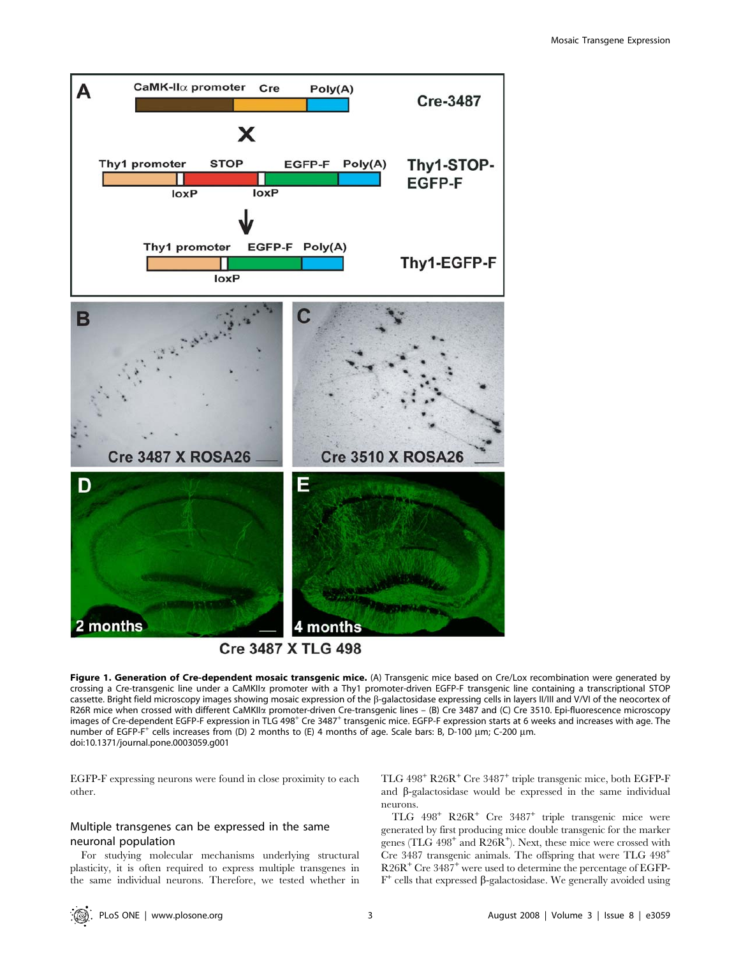

Figure 1. Generation of Cre-dependent mosaic transgenic mice. (A) Transgenic mice based on Cre/Lox recombination were generated by crossing a Cre-transgenic line under a CaMKIIa promoter with a Thy1 promoter-driven EGFP-F transgenic line containing a transcriptional STOP cassette. Bright field microscopy images showing mosaic expression of the b-galactosidase expressing cells in layers II/III and V/VI of the neocortex of R26R mice when crossed with different CaMKIIa promoter-driven Cre-transgenic lines – (B) Cre 3487 and (C) Cre 3510. Epi-fluorescence microscopy images of Cre-dependent EGFP-F expression in TLG 498<sup>+</sup> Cre 3487<sup>+</sup> transgenic mice. EGFP-F expression starts at 6 weeks and increases with age. The number of EGFP-F<sup>+</sup> cells increases from (D) 2 months to (E) 4 months of age. Scale bars: B, D-100 µm; C-200 µm. doi:10.1371/journal.pone.0003059.g001

EGFP-F expressing neurons were found in close proximity to each other.

# Multiple transgenes can be expressed in the same neuronal population

For studying molecular mechanisms underlying structural plasticity, it is often required to express multiple transgenes in the same individual neurons. Therefore, we tested whether in TLG 498<sup>+</sup> R26R<sup>+</sup> Cre 3487<sup>+</sup> triple transgenic mice, both EGFP-F and  $\beta$ -galactosidase would be expressed in the same individual neurons.

TLG 498<sup>+</sup> R26R<sup>+</sup> Cre 3487<sup>+</sup> triple transgenic mice were generated by first producing mice double transgenic for the marker genes (TLG  $498^+$  and R26R<sup>+</sup>). Next, these mice were crossed with Cre 3487 transgenic animals. The offspring that were TLG 498<sup>+</sup> R26R<sup>+</sup> Cre 3487<sup>+</sup> were used to determine the percentage of EGFP- $F^+$  cells that expressed  $\beta$ -galactosidase. We generally avoided using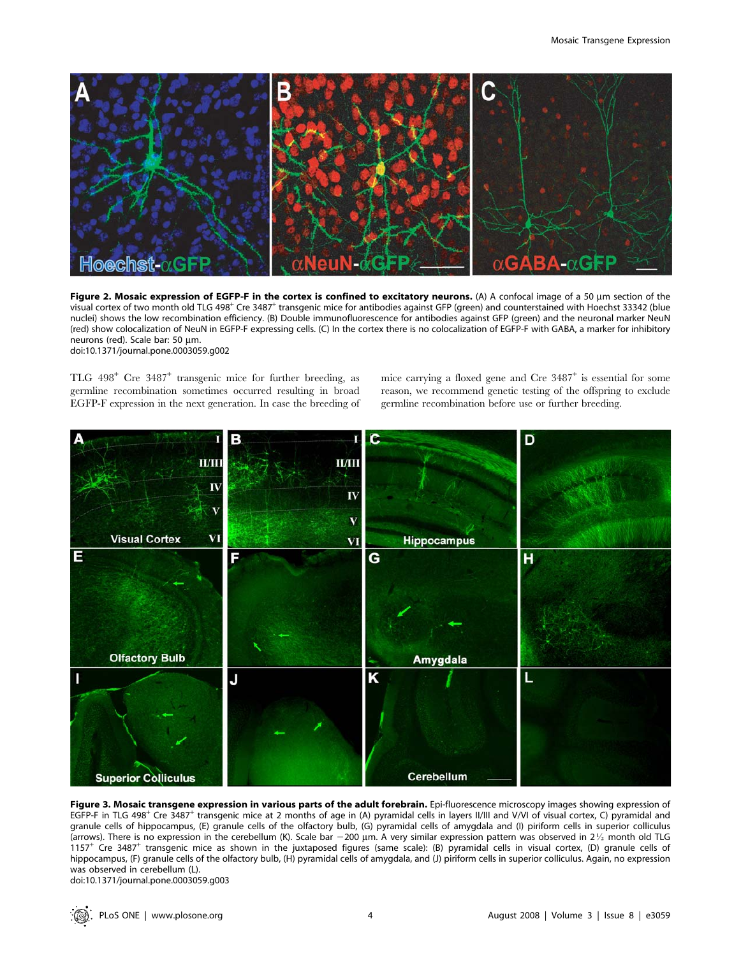

Figure 2. Mosaic expression of EGFP-F in the cortex is confined to excitatory neurons. (A) A confocal image of a 50  $\mu$ m section of the visual cortex of two month old TLG 498<sup>+</sup> Cre 3487<sup>+</sup> transgenic mice for antibodies against GFP (green) and counterstained with Hoechst 33342 (blue nuclei) shows the low recombination efficiency. (B) Double immunofluorescence for antibodies against GFP (green) and the neuronal marker NeuN (red) show colocalization of NeuN in EGFP-F expressing cells. (C) In the cortex there is no colocalization of EGFP-F with GABA, a marker for inhibitory neurons (red). Scale bar: 50 µm. doi:10.1371/journal.pone.0003059.g002

TLG 498<sup>+</sup> Cre 3487<sup>+</sup> transgenic mice for further breeding, as germline recombination sometimes occurred resulting in broad EGFP-F expression in the next generation. In case the breeding of

mice carrying a floxed gene and Cre  $3487^+$  is essential for some reason, we recommend genetic testing of the offspring to exclude germline recombination before use or further breeding.



Figure 3. Mosaic transgene expression in various parts of the adult forebrain. Epi-fluorescence microscopy images showing expression of EGFP-F in TLG 498<sup>+</sup> Cre 3487<sup>+</sup> transgenic mice at 2 months of age in (A) pyramidal cells in layers II/III and V/VI of visual cortex, C) pyramidal and granule cells of hippocampus, (E) granule cells of the olfactory bulb, (G) pyramidal cells of amygdala and (I) piriform cells in superior colliculus (arrows). There is no expression in the cerebellum (K). Scale bar  $-200$  µm. A very similar expression pattern was observed in 21/2 month old TLG 1157<sup>+</sup> Cre 3487<sup>+</sup> transgenic mice as shown in the juxtaposed figures (same scale): (B) pyramidal cells in visual cortex, (D) granule cells of hippocampus, (F) granule cells of the olfactory bulb, (H) pyramidal cells of amygdala, and (J) piriform cells in superior colliculus. Again, no expression was observed in cerebellum (L). doi:10.1371/journal.pone.0003059.g003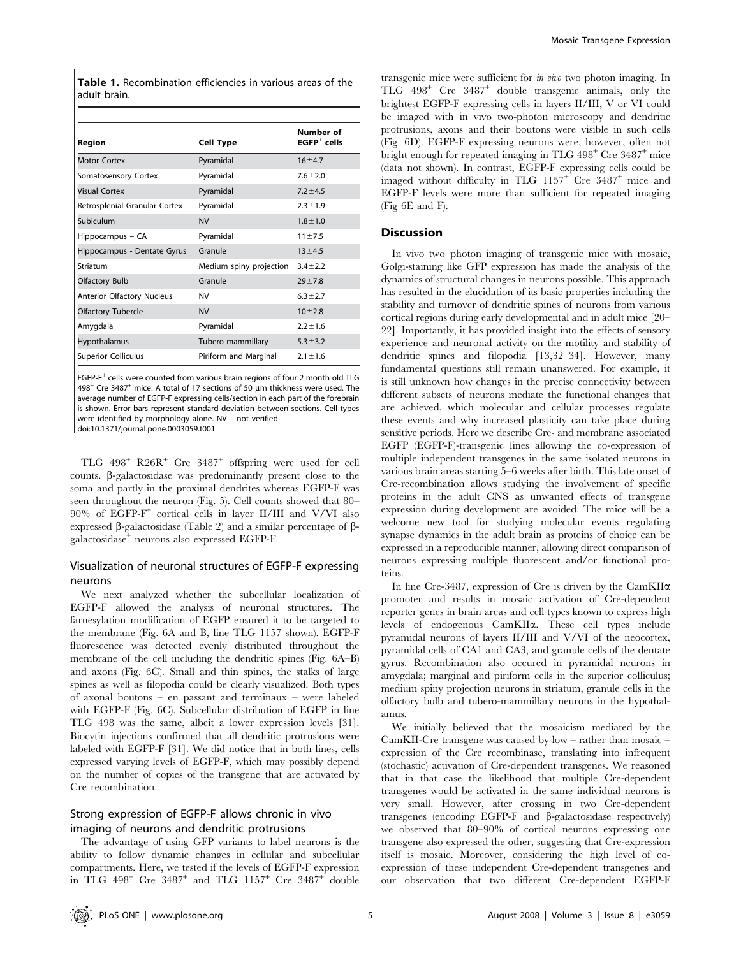Table 1. Recombination efficiencies in various areas of the adult brain.

| <b>Cell Type</b>        | Number of<br>$EGFP+$ cells |
|-------------------------|----------------------------|
| Pyramidal               | $16 + 4.7$                 |
| Pyramidal               | $7.6 \pm 2.0$              |
| Pyramidal               | $7.2 + 4.5$                |
| Pyramidal               | $2.3 \pm 1.9$              |
| <b>NV</b>               | $1.8 \pm 1.0$              |
| Pyramidal               | $11 + 7.5$                 |
| Granule                 | $13 + 4.5$                 |
| Medium spiny projection | $3.4 \pm 2.2$              |
| Granule                 | $29 + 7.8$                 |
| NV                      | $6.3 + 2.7$                |
| <b>NV</b>               | $10 + 2.8$                 |
| Pyramidal               | $2.2 \pm 1.6$              |
| Tubero-mammillary       | $5.3 \pm 3.2$              |
| Piriform and Marginal   | $2.1 \pm 1.6$              |
|                         |                            |

EGFP-F<sup>+</sup> cells were counted from various brain regions of four 2 month old TLG  $498<sup>+</sup>$  Cre 3487<sup>+</sup> mice. A total of 17 sections of 50  $\mu$ m thickness were used. The average number of EGFP-F expressing cells/section in each part of the forebrain is shown. Error bars represent standard deviation between sections. Cell types were identified by morphology alone. NV – not verified. doi:10.1371/journal.pone.0003059.t001

TLG 498<sup>+</sup> R26R<sup>+</sup> Cre 3487<sup>+</sup> offspring were used for cell counts.  $\beta$ -galactosidase was predominantly present close to the soma and partly in the proximal dendrites whereas EGFP-F was seen throughout the neuron (Fig. 5). Cell counts showed that 80– 90% of EGFP-F<sup>+</sup> cortical cells in layer II/III and V/VI also expressed  $\beta$ -galactosidase (Table 2) and a similar percentage of  $\beta$ galactosidase<sup>+</sup> neurons also expressed EGFP-F.

# Visualization of neuronal structures of EGFP-F expressing neurons

We next analyzed whether the subcellular localization of EGFP-F allowed the analysis of neuronal structures. The farnesylation modification of EGFP ensured it to be targeted to the membrane (Fig. 6A and B, line TLG 1157 shown). EGFP-F fluorescence was detected evenly distributed throughout the membrane of the cell including the dendritic spines (Fig. 6A–B) and axons (Fig. 6C). Small and thin spines, the stalks of large spines as well as filopodia could be clearly visualized. Both types of axonal boutons – en passant and terminaux – were labeled with EGFP-F (Fig. 6C). Subcellular distribution of EGFP in line TLG 498 was the same, albeit a lower expression levels [31]. Biocytin injections confirmed that all dendritic protrusions were labeled with EGFP-F [31]. We did notice that in both lines, cells expressed varying levels of EGFP-F, which may possibly depend on the number of copies of the transgene that are activated by Cre recombination.

# Strong expression of EGFP-F allows chronic in vivo imaging of neurons and dendritic protrusions

The advantage of using GFP variants to label neurons is the ability to follow dynamic changes in cellular and subcellular compartments. Here, we tested if the levels of EGFP-F expression in TLG  $498^+$  Cre  $3487^+$  and TLG  $1157^+$  Cre  $3487^+$  double

transgenic mice were sufficient for in vivo two photon imaging. In TLG 498<sup>+</sup> Cre 3487<sup>+</sup> double transgenic animals, only the brightest EGFP-F expressing cells in layers II/III, V or VI could be imaged with in vivo two-photon microscopy and dendritic protrusions, axons and their boutons were visible in such cells (Fig. 6D). EGFP-F expressing neurons were, however, often not bright enough for repeated imaging in TLG  $498<sup>+</sup>$  Cre  $3487<sup>+</sup>$  mice (data not shown). In contrast, EGFP-F expressing cells could be imaged without difficulty in TLG 1157<sup>+</sup> Cre 3487<sup>+</sup> mice and EGFP-F levels were more than sufficient for repeated imaging (Fig 6E and F).

#### Discussion

In vivo two–photon imaging of transgenic mice with mosaic, Golgi-staining like GFP expression has made the analysis of the dynamics of structural changes in neurons possible. This approach has resulted in the elucidation of its basic properties including the stability and turnover of dendritic spines of neurons from various cortical regions during early developmental and in adult mice [20– 22]. Importantly, it has provided insight into the effects of sensory experience and neuronal activity on the motility and stability of dendritic spines and filopodia [13,32–34]. However, many fundamental questions still remain unanswered. For example, it is still unknown how changes in the precise connectivity between different subsets of neurons mediate the functional changes that are achieved, which molecular and cellular processes regulate these events and why increased plasticity can take place during sensitive periods. Here we describe Cre- and membrane associated EGFP (EGFP-F)-transgenic lines allowing the co-expression of multiple independent transgenes in the same isolated neurons in various brain areas starting 5–6 weeks after birth. This late onset of Cre-recombination allows studying the involvement of specific proteins in the adult CNS as unwanted effects of transgene expression during development are avoided. The mice will be a welcome new tool for studying molecular events regulating synapse dynamics in the adult brain as proteins of choice can be expressed in a reproducible manner, allowing direct comparison of neurons expressing multiple fluorescent and/or functional proteins.

In line Cre-3487, expression of Cre is driven by the CamKII $\alpha$ promoter and results in mosaic activation of Cre-dependent reporter genes in brain areas and cell types known to express high levels of endogenous CamKIIa. These cell types include pyramidal neurons of layers II/III and V/VI of the neocortex, pyramidal cells of CA1 and CA3, and granule cells of the dentate gyrus. Recombination also occured in pyramidal neurons in amygdala; marginal and piriform cells in the superior colliculus; medium spiny projection neurons in striatum, granule cells in the olfactory bulb and tubero-mammillary neurons in the hypothalamus.

We initially believed that the mosaicism mediated by the CamKII-Cre transgene was caused by low – rather than mosaic – expression of the Cre recombinase, translating into infrequent (stochastic) activation of Cre-dependent transgenes. We reasoned that in that case the likelihood that multiple Cre-dependent transgenes would be activated in the same individual neurons is very small. However, after crossing in two Cre-dependent transgenes (encoding EGFP-F and  $\beta$ -galactosidase respectively) we observed that 80–90% of cortical neurons expressing one transgene also expressed the other, suggesting that Cre-expression itself is mosaic. Moreover, considering the high level of coexpression of these independent Cre-dependent transgenes and our observation that two different Cre-dependent EGFP-F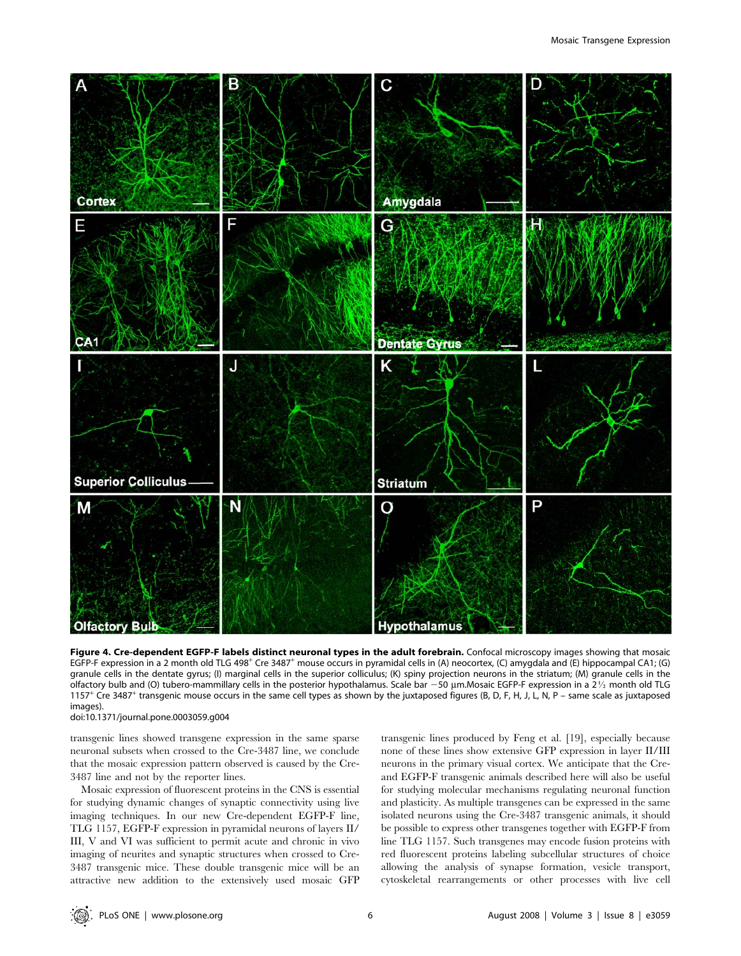

Figure 4. Cre-dependent EGFP-F labels distinct neuronal types in the adult forebrain. Confocal microscopy images showing that mosaic EGFP-F expression in a 2 month old TLG 498<sup>+</sup> Cre 3487<sup>+</sup> mouse occurs in pyramidal cells in (A) neocortex, (C) amygdala and (E) hippocampal CA1; (G) granule cells in the dentate gyrus; (I) marginal cells in the superior colliculus; (K) spiny projection neurons in the striatum; (M) granule cells in the olfactory bulb and (O) tubero-mammillary cells in the posterior hypothalamus. Scale bar  $-50$  µm.Mosaic EGFP-F expression in a  $2\frac{1}{2}$  month old TLG 1157<sup>+</sup> Cre 3487<sup>+</sup> transgenic mouse occurs in the same cell types as shown by the juxtaposed figures (B, D, F, H, J, L, N, P – same scale as juxtaposed images).

doi:10.1371/journal.pone.0003059.g004

transgenic lines showed transgene expression in the same sparse neuronal subsets when crossed to the Cre-3487 line, we conclude that the mosaic expression pattern observed is caused by the Cre-3487 line and not by the reporter lines.

Mosaic expression of fluorescent proteins in the CNS is essential for studying dynamic changes of synaptic connectivity using live imaging techniques. In our new Cre-dependent EGFP-F line, TLG 1157, EGFP-F expression in pyramidal neurons of layers II/ III, V and VI was sufficient to permit acute and chronic in vivo imaging of neurites and synaptic structures when crossed to Cre-3487 transgenic mice. These double transgenic mice will be an attractive new addition to the extensively used mosaic GFP transgenic lines produced by Feng et al. [19], especially because none of these lines show extensive GFP expression in layer II/III neurons in the primary visual cortex. We anticipate that the Creand EGFP-F transgenic animals described here will also be useful for studying molecular mechanisms regulating neuronal function and plasticity. As multiple transgenes can be expressed in the same isolated neurons using the Cre-3487 transgenic animals, it should be possible to express other transgenes together with EGFP-F from line TLG 1157. Such transgenes may encode fusion proteins with red fluorescent proteins labeling subcellular structures of choice allowing the analysis of synapse formation, vesicle transport, cytoskeletal rearrangements or other processes with live cell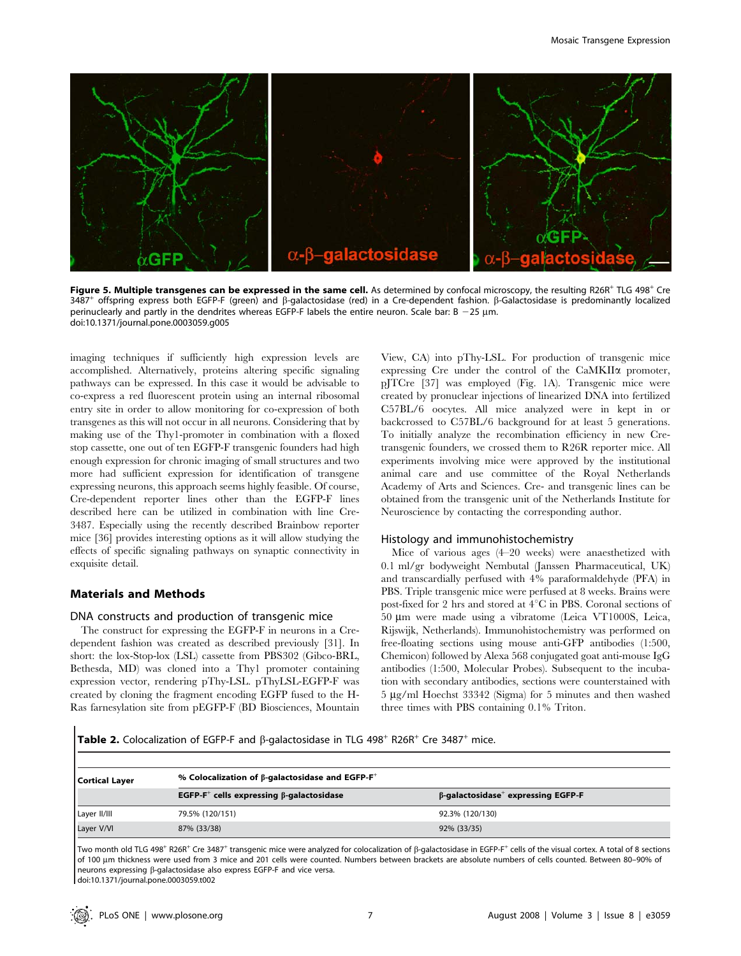

Figure 5. Multiple transgenes can be expressed in the same cell. As determined by confocal microscopy, the resulting R26R<sup>+</sup> TLG 498<sup>+</sup> Cre 3487<sup>+</sup> offspring express both EGFP-F (green) and  $\beta$ -galactosidase (red) in a Cre-dependent fashion.  $\beta$ -Galactosidase is predominantly localized perinuclearly and partly in the dendrites whereas EGFP-F labels the entire neuron. Scale bar:  $B - 25 \mu m$ . doi:10.1371/journal.pone.0003059.g005

imaging techniques if sufficiently high expression levels are accomplished. Alternatively, proteins altering specific signaling pathways can be expressed. In this case it would be advisable to co-express a red fluorescent protein using an internal ribosomal entry site in order to allow monitoring for co-expression of both transgenes as this will not occur in all neurons. Considering that by making use of the Thy1-promoter in combination with a floxed stop cassette, one out of ten EGFP-F transgenic founders had high enough expression for chronic imaging of small structures and two more had sufficient expression for identification of transgene expressing neurons, this approach seems highly feasible. Of course, Cre-dependent reporter lines other than the EGFP-F lines described here can be utilized in combination with line Cre-3487. Especially using the recently described Brainbow reporter mice [36] provides interesting options as it will allow studying the effects of specific signaling pathways on synaptic connectivity in exquisite detail.

# Materials and Methods

#### DNA constructs and production of transgenic mice

The construct for expressing the EGFP-F in neurons in a Credependent fashion was created as described previously [31]. In short: the lox-Stop-lox (LSL) cassette from PBS302 (Gibco-BRL, Bethesda, MD) was cloned into a Thy1 promoter containing expression vector, rendering pThy-LSL. pThyLSL-EGFP-F was created by cloning the fragment encoding EGFP fused to the H-Ras farnesylation site from pEGFP-F (BD Biosciences, Mountain View, CA) into pThy-LSL. For production of transgenic mice expressing Cre under the control of the CaMKII $\alpha$  promoter, pJTCre [37] was employed (Fig. 1A). Transgenic mice were created by pronuclear injections of linearized DNA into fertilized C57BL/6 oocytes. All mice analyzed were in kept in or backcrossed to C57BL/6 background for at least 5 generations. To initially analyze the recombination efficiency in new Cretransgenic founders, we crossed them to R26R reporter mice. All experiments involving mice were approved by the institutional animal care and use committee of the Royal Netherlands Academy of Arts and Sciences. Cre- and transgenic lines can be obtained from the transgenic unit of the Netherlands Institute for Neuroscience by contacting the corresponding author.

#### Histology and immunohistochemistry

Mice of various ages (4–20 weeks) were anaesthetized with 0.1 ml/gr bodyweight Nembutal (Janssen Pharmaceutical, UK) and transcardially perfused with 4% paraformaldehyde (PFA) in PBS. Triple transgenic mice were perfused at 8 weeks. Brains were post-fixed for 2 hrs and stored at  $4^{\circ}$ C in PBS. Coronal sections of 50 mm were made using a vibratome (Leica VT1000S, Leica, Rijswijk, Netherlands). Immunohistochemistry was performed on free-floating sections using mouse anti-GFP antibodies (1:500, Chemicon) followed by Alexa 568 conjugated goat anti-mouse IgG antibodies (1:500, Molecular Probes). Subsequent to the incubation with secondary antibodies, sections were counterstained with 5 mg/ml Hoechst 33342 (Sigma) for 5 minutes and then washed three times with PBS containing 0.1% Triton.

Table 2. Colocalization of EGFP-F and  $\beta$ -galactosidase in TLG 498<sup>+</sup> R26R<sup>+</sup> Cre 3487<sup>+</sup> mice.

| <b>Cortical Layer</b> | % Colocalization of $\beta$ -galactosidase and EGFP-F <sup>+</sup> |                                                       |  |
|-----------------------|--------------------------------------------------------------------|-------------------------------------------------------|--|
|                       | EGFP- $F^+$ cells expressing $\beta$ -galactosidase                | $\beta$ -galactosidase <sup>+</sup> expressing EGFP-F |  |
| Layer II/III          | 79.5% (120/151)                                                    | 92.3% (120/130)                                       |  |
| Layer V/VI            | 87% (33/38)                                                        | 92% (33/35)                                           |  |

Two month old TLG 498<sup>+</sup> R26R<sup>+</sup> Cre 3487<sup>+</sup> transgenic mice were analyzed for colocalization of  $\beta$ -galactosidase in EGFP-F<sup>+</sup> cells of the visual cortex. A total of 8 sections of 100 mm thickness were used from 3 mice and 201 cells were counted. Numbers between brackets are absolute numbers of cells counted. Between 80–90% of neurons expressing b-galactosidase also express EGFP-F and vice versa. doi:10.1371/journal.pone.0003059.t002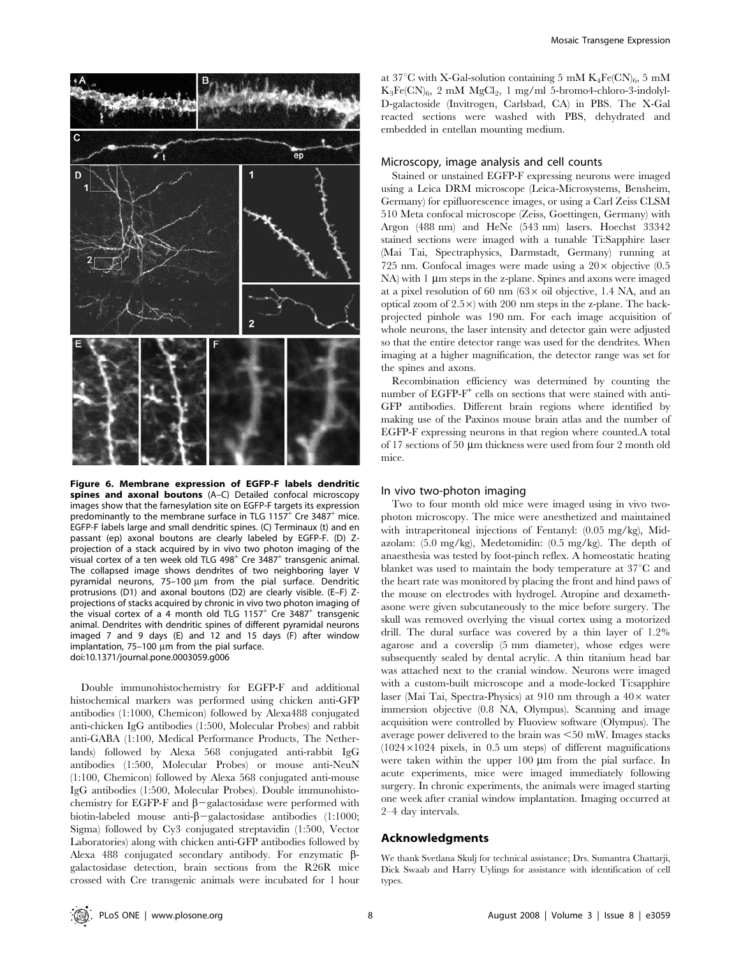

Figure 6. Membrane expression of EGFP-F labels dendritic spines and axonal boutons (A–C) Detailed confocal microscopy images show that the farnesylation site on EGFP-F targets its expression predominantly to the membrane surface in TLG 1157<sup>+</sup> Cre 3487<sup>+</sup> mice. EGFP-F labels large and small dendritic spines. (C) Terminaux (t) and en passant (ep) axonal boutons are clearly labeled by EGFP-F. (D) Zprojection of a stack acquired by in vivo two photon imaging of the visual cortex of a ten week old TLG 498<sup>+</sup> Cre 3487<sup>+</sup> transgenic animal. The collapsed image shows dendrites of two neighboring layer V pyramidal neurons,  $75-100 \mu m$  from the pial surface. Dendritic protrusions (D1) and axonal boutons (D2) are clearly visible. (E–F) Zprojections of stacks acquired by chronic in vivo two photon imaging of the visual cortex of a 4 month old TLG 1157<sup>+</sup> Cre 3487<sup>+</sup> transgenic animal. Dendrites with dendritic spines of different pyramidal neurons imaged 7 and 9 days (E) and 12 and 15 days (F) after window implantation,  $75-100 \mu m$  from the pial surface. doi:10.1371/journal.pone.0003059.g006

Double immunohistochemistry for EGFP-F and additional histochemical markers was performed using chicken anti-GFP antibodies (1:1000, Chemicon) followed by Alexa488 conjugated anti-chicken IgG antibodies (1:500, Molecular Probes) and rabbit anti-GABA (1:100, Medical Performance Products, The Netherlands) followed by Alexa 568 conjugated anti-rabbit IgG antibodies (1:500, Molecular Probes) or mouse anti-NeuN (1:100, Chemicon) followed by Alexa 568 conjugated anti-mouse IgG antibodies (1:500, Molecular Probes). Double immunohistochemistry for EGFP-F and  $\beta$ -galactosidase were performed with biotin-labeled mouse anti- $\beta$ -galactosidase antibodies (1:1000; Sigma) followed by Cy3 conjugated streptavidin (1:500, Vector Laboratories) along with chicken anti-GFP antibodies followed by Alexa 488 conjugated secondary antibody. For enzymatic βgalactosidase detection, brain sections from the R26R mice crossed with Cre transgenic animals were incubated for 1 hour at 37<sup>°</sup>C with X-Gal-solution containing 5 mM  $K_4Fe(CN)_6$ , 5 mM  $K_3Fe(CN)_6$ , 2 mM  $MgCl_2$ , 1 mg/ml 5-bromo4-chloro-3-indolyl-D-galactoside (Invitrogen, Carlsbad, CA) in PBS. The X-Gal reacted sections were washed with PBS, dehydrated and embedded in entellan mounting medium.

#### Microscopy, image analysis and cell counts

Stained or unstained EGFP-F expressing neurons were imaged using a Leica DRM microscope (Leica-Microsystems, Bensheim, Germany) for epifluorescence images, or using a Carl Zeiss CLSM 510 Meta confocal microscope (Zeiss, Goettingen, Germany) with Argon (488 nm) and HeNe (543 nm) lasers. Hoechst 33342 stained sections were imaged with a tunable Ti:Sapphire laser (Mai Tai, Spectraphysics, Darmstadt, Germany) running at 725 nm. Confocal images were made using a  $20 \times$  objective (0.5)  $NA$ ) with 1  $\mu$ m steps in the z-plane. Spines and axons were imaged at a pixel resolution of 60 nm  $(63 \times$  oil objective, 1.4 NA, and an optical zoom of  $2.5 \times$ ) with 200 nm steps in the z-plane. The backprojected pinhole was 190 nm. For each image acquisition of whole neurons, the laser intensity and detector gain were adjusted so that the entire detector range was used for the dendrites. When imaging at a higher magnification, the detector range was set for the spines and axons.

Recombination efficiency was determined by counting the number of EGFP-F<sup>+</sup> cells on sections that were stained with anti-GFP antibodies. Different brain regions where identified by making use of the Paxinos mouse brain atlas and the number of EGFP-F expressing neurons in that region where counted.A total of 17 sections of 50  $\mu$ m thickness were used from four 2 month old mice.

#### In vivo two-photon imaging

Two to four month old mice were imaged using in vivo twophoton microscopy. The mice were anesthetized and maintained with intraperitoneal injections of Fentanyl: (0.05 mg/kg), Midazolam: (5.0 mg/kg), Medetomidin: (0.5 mg/kg). The depth of anaesthesia was tested by foot-pinch reflex. A homeostatic heating blanket was used to maintain the body temperature at  $37^{\circ}$ C and the heart rate was monitored by placing the front and hind paws of the mouse on electrodes with hydrogel. Atropine and dexamethasone were given subcutaneously to the mice before surgery. The skull was removed overlying the visual cortex using a motorized drill. The dural surface was covered by a thin layer of 1.2% agarose and a coverslip (5 mm diameter), whose edges were subsequently sealed by dental acrylic. A thin titanium head bar was attached next to the cranial window. Neurons were imaged with a custom-built microscope and a mode-locked Ti:sapphire laser (Mai Tai, Spectra-Physics) at 910 nm through a  $40\times$  water immersion objective (0.8 NA, Olympus). Scanning and image acquisition were controlled by Fluoview software (Olympus). The average power delivered to the brain was  $\leq 50$  mW. Images stacks  $(1024\times1024$  pixels, in 0.5 um steps) of different magnifications were taken within the upper  $100 \mu m$  from the pial surface. In acute experiments, mice were imaged immediately following surgery. In chronic experiments, the animals were imaged starting one week after cranial window implantation. Imaging occurred at 2–4 day intervals.

#### Acknowledgments

We thank Svetlana Skulj for technical assistance; Drs. Sumantra Chattarji, Dick Swaab and Harry Uylings for assistance with identification of cell types.